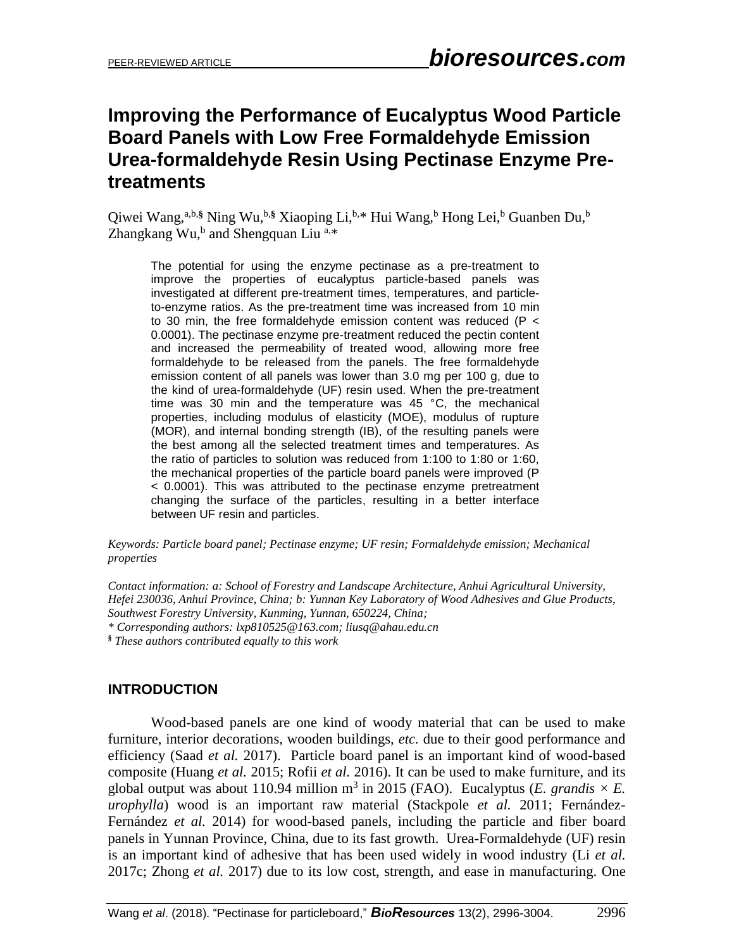# **Improving the Performance of Eucalyptus Wood Particle Board Panels with Low Free Formaldehyde Emission Urea-formaldehyde Resin Using Pectinase Enzyme Pretreatments**

Qiwei Wang,<sup>a,b,§</sup> Ning Wu,<sup>b,§</sup> Xiaoping Li,<sup>b,\*</sup> Hui Wang,<sup>b</sup> Hong Lei,<sup>b</sup> Guanben Du,<sup>b</sup> Zhangkang Wu,<sup>b</sup> and Shengquan Liu<sup>a,\*</sup>

The potential for using the enzyme pectinase as a pre-treatment to improve the properties of eucalyptus particle-based panels was investigated at different pre-treatment times, temperatures, and particleto-enzyme ratios. As the pre-treatment time was increased from 10 min to 30 min, the free formaldehyde emission content was reduced (P < 0.0001). The pectinase enzyme pre-treatment reduced the pectin content and increased the permeability of treated wood, allowing more free formaldehyde to be released from the panels. The free formaldehyde emission content of all panels was lower than 3.0 mg per 100 g, due to the kind of urea-formaldehyde (UF) resin used. When the pre-treatment time was 30 min and the temperature was 45 °C, the mechanical properties, including modulus of elasticity (MOE), modulus of rupture (MOR), and internal bonding strength (IB), of the resulting panels were the best among all the selected treatment times and temperatures. As the ratio of particles to solution was reduced from 1:100 to 1:80 or 1:60, the mechanical properties of the particle board panels were improved (P < 0.0001). This was attributed to the pectinase enzyme pretreatment changing the surface of the particles, resulting in a better interface between UF resin and particles.

#### *Keywords: Particle board panel; Pectinase enzyme; UF resin; Formaldehyde emission; Mechanical properties*

*Contact information: a: School of Forestry and Landscape Architecture, Anhui Agricultural University, Hefei 230036, Anhui Province, China; b: Yunnan Key Laboratory of Wood Adhesives and Glue Products, Southwest Forestry University, Kunming, Yunnan, 650224, China; \* Corresponding authors: [lxp810525@163.com;](mailto:lxp810525@163.com) liusq@ahau.edu.cn*

**§** *These authors contributed equally to this work*

# **INTRODUCTION**

Wood-based panels are one kind of woody material that can be used to make furniture, interior decorations, wooden buildings, *etc.* due to their good performance and efficiency (Saad *et al.* 2017). Particle board panel is an important kind of wood-based composite (Huang *et al.* 2015; Rofii *et al.* 2016). It can be used to make furniture, and its global output was about 110.94 million m<sup>3</sup> in 2015 (FAO). Eucalyptus (*E. grandis*  $\times$  *E. urophylla*) wood is an important raw material (Stackpole *et al.* 2011; Fernández-Fernández *et al.* 2014) for wood-based panels, including the particle and fiber board panels in Yunnan Province, China, due to its fast growth. Urea-Formaldehyde (UF) resin is an important kind of adhesive that has been used widely in wood industry (Li *et al.* 2017c; Zhong *et al.* 2017) due to its low cost, strength, and ease in manufacturing. One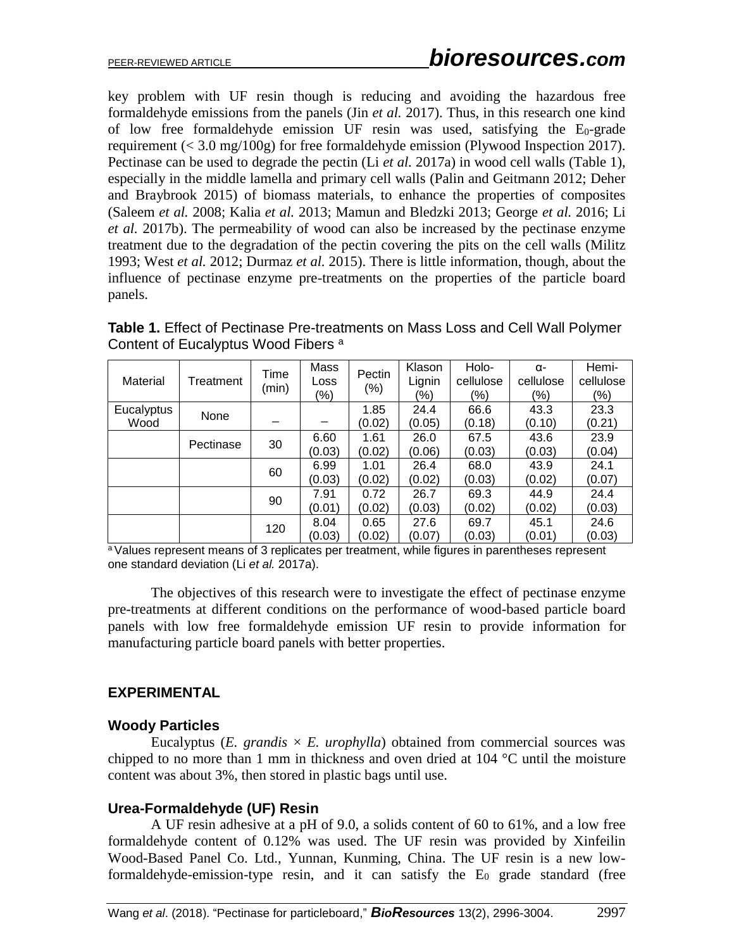key problem with UF resin though is reducing and avoiding the hazardous free formaldehyde emissions from the panels (Jin *et al.* 2017). Thus, in this research one kind of low free formaldehyde emission UF resin was used, satisfying the E0-grade requirement (< 3.0 mg/100g) for free formaldehyde emission (Plywood Inspection 2017). Pectinase can be used to degrade the pectin (Li *et al.* 2017a) in wood cell walls (Table 1), especially in the middle lamella and primary cell walls (Palin and Geitmann 2012; Deher and Braybrook 2015) of biomass materials, to enhance the properties of composites (Saleem *et al.* 2008; Kalia *et al.* 2013; Mamun and Bledzki 2013; George *et al.* 2016; Li *et al.* 2017b). The permeability of wood can also be increased by the pectinase enzyme treatment due to the degradation of the pectin covering the pits on the cell walls (Militz 1993; West *et al.* 2012; Durmaz *et al.* 2015). There is little information, though, about the influence of pectinase enzyme pre-treatments on the properties of the particle board panels.

**Table 1.** Effect of Pectinase Pre-treatments on Mass Loss and Cell Wall Polymer Content of Eucalyptus Wood Fibers<sup>a</sup>

| Material   | Treatment | Time<br>(min) | Mass<br>Loss<br>(%) | Pectin<br>$(\%)$ | Klason<br>Lignin<br>$\frac{1}{2}$ | Holo-<br>cellulose<br>(%) | α-<br>cellulose<br>(%) | Hemi-<br>cellulose<br>(%) |
|------------|-----------|---------------|---------------------|------------------|-----------------------------------|---------------------------|------------------------|---------------------------|
| Eucalyptus | None      |               |                     | 1.85             | 24.4                              | 66.6                      | 43.3                   | 23.3                      |
| Wood       |           |               |                     | (0.02)           | (0.05)                            | (0.18)                    | (0.10)                 | (0.21)                    |
|            | Pectinase | 30            | 6.60                | 1.61             | 26.0                              | 67.5                      | 43.6                   | 23.9                      |
|            |           |               | (0.03)              | (0.02)           | (0.06)                            | (0.03)                    | (0.03)                 | (0.04)                    |
|            | 60        | 6.99          | 1.01                | 26.4             | 68.0                              | 43.9                      | 24.1                   |                           |
|            |           |               | (0.03)              | (0.02)           | (0.02)                            | (0.03)                    | (0.02)                 | (0.07)                    |
|            |           | 90            | 7.91                | 0.72             | 26.7                              | 69.3                      | 44.9                   | 24.4                      |
|            |           |               | (0.01)              | (0.02)           | (0.03)                            | (0.02)                    | (0.02)                 | (0.03)                    |
|            |           | 120           | 8.04                | 0.65             | 27.6                              | 69.7                      | 45.1                   | 24.6                      |
|            |           |               | (0.03)              | (0.02)           | (0.07)                            | (0.03)                    | (0.01)                 | (0.03)                    |

<sup>a</sup> Values represent means of 3 replicates per treatment, while figures in parentheses represent one standard deviation (Li *et al.* 2017a).

The objectives of this research were to investigate the effect of pectinase enzyme pre-treatments at different conditions on the performance of wood-based particle board panels with low free formaldehyde emission UF resin to provide information for manufacturing particle board panels with better properties.

# **EXPERIMENTAL**

#### **Woody Particles**

Eucalyptus ( $E$ . grandis  $\times$   $E$ . urophylla) obtained from commercial sources was chipped to no more than 1 mm in thickness and oven dried at 104 °C until the moisture content was about 3%, then stored in plastic bags until use.

#### **Urea-Formaldehyde (UF) Resin**

A UF resin adhesive at a pH of 9.0, a solids content of 60 to 61%, and a low free formaldehyde content of 0.12% was used. The UF resin was provided by Xinfeilin Wood-Based Panel Co. Ltd., Yunnan, Kunming, China. The UF resin is a new lowformaldehyde-emission-type resin, and it can satisfy the  $E_0$  grade standard (free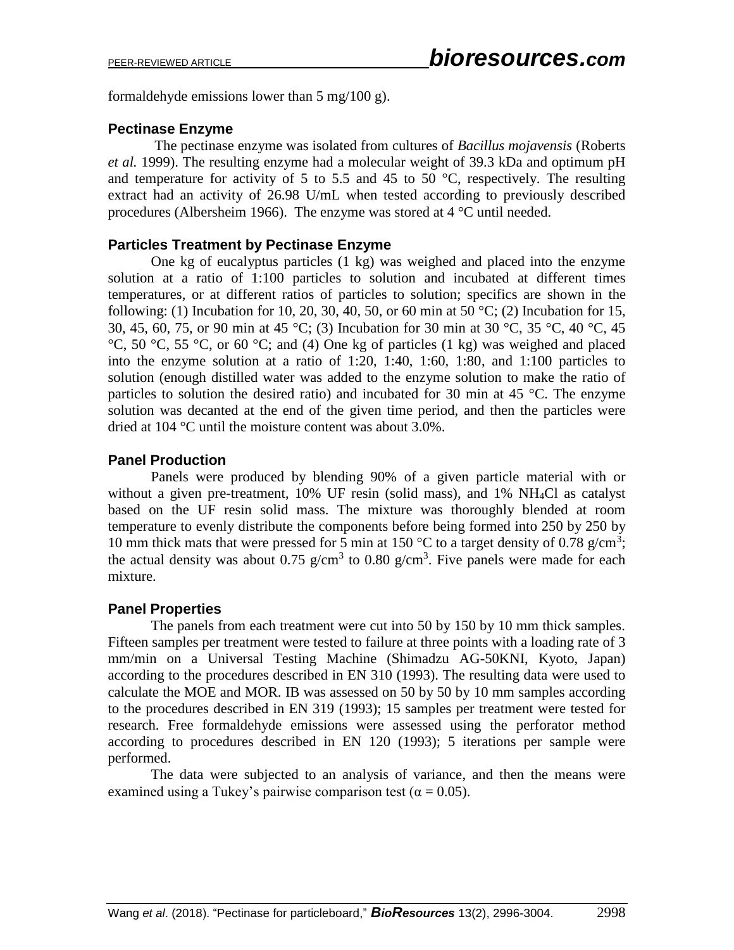formaldehyde emissions lower than 5 mg/100 g).

#### **Pectinase Enzyme**

The pectinase enzyme was isolated from cultures of *Bacillus mojavensis* (Roberts *et al.* 1999). The resulting enzyme had a molecular weight of 39.3 kDa and optimum pH and temperature for activity of 5 to 5.5 and 45 to 50  $^{\circ}$ C, respectively. The resulting extract had an activity of 26.98 U/mL when tested according to previously described procedures (Albersheim 1966). The enzyme was stored at 4 °C until needed.

#### **Particles Treatment by Pectinase Enzyme**

One kg of eucalyptus particles (1 kg) was weighed and placed into the enzyme solution at a ratio of 1:100 particles to solution and incubated at different times temperatures, or at different ratios of particles to solution; specifics are shown in the following: (1) Incubation for 10, 20, 30, 40, 50, or 60 min at 50  $^{\circ}$ C; (2) Incubation for 15, 30, 45, 60, 75, or 90 min at 45 °C; (3) Incubation for 30 min at 30 °C, 35 °C, 40 °C, 45  $^{\circ}$ C, 50  $^{\circ}$ C, 55  $^{\circ}$ C, or 60  $^{\circ}$ C; and (4) One kg of particles (1 kg) was weighed and placed into the enzyme solution at a ratio of 1:20, 1:40, 1:60, 1:80, and 1:100 particles to solution (enough distilled water was added to the enzyme solution to make the ratio of particles to solution the desired ratio) and incubated for 30 min at 45 °C. The enzyme solution was decanted at the end of the given time period, and then the particles were dried at 104 °C until the moisture content was about 3.0%.

### **Panel Production**

Panels were produced by blending 90% of a given particle material with or without a given pre-treatment, 10% UF resin (solid mass), and 1% NH4Cl as catalyst based on the UF resin solid mass. The mixture was thoroughly blended at room temperature to evenly distribute the components before being formed into 250 by 250 by 10 mm thick mats that were pressed for 5 min at 150 °C to a target density of 0.78 g/cm<sup>3</sup>; the actual density was about 0.75 g/cm<sup>3</sup> to 0.80 g/cm<sup>3</sup>. Five panels were made for each mixture.

#### **Panel Properties**

The panels from each treatment were cut into 50 by 150 by 10 mm thick samples. Fifteen samples per treatment were tested to failure at three points with a loading rate of 3 mm/min on a Universal Testing Machine (Shimadzu AG-50KNI, Kyoto, Japan) according to the procedures described in EN 310 (1993). The resulting data were used to calculate the MOE and MOR. IB was assessed on 50 by 50 by 10 mm samples according to the procedures described in EN 319 (1993); 15 samples per treatment were tested for research. Free formaldehyde emissions were assessed using the perforator method according to procedures described in EN 120 (1993); 5 iterations per sample were performed.

The data were subjected to an analysis of variance, and then the means were examined using a Tukey's pairwise comparison test ( $\alpha = 0.05$ ).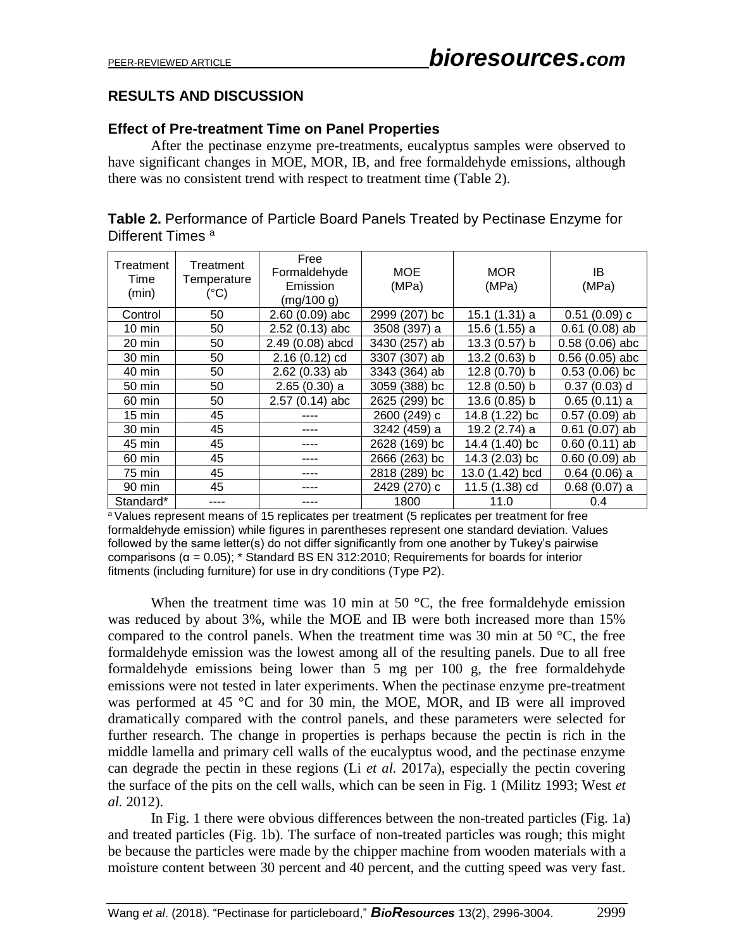# **RESULTS AND DISCUSSION**

#### **Effect of Pre-treatment Time on Panel Properties**

After the pectinase enzyme pre-treatments, eucalyptus samples were observed to have significant changes in MOE, MOR, IB, and free formaldehyde emissions, although there was no consistent trend with respect to treatment time (Table 2).

| Table 2. Performance of Particle Board Panels Treated by Pectinase Enzyme for |  |
|-------------------------------------------------------------------------------|--|
| Different Times <sup>a</sup>                                                  |  |

| Treatment<br>Time<br>(min) | Treatment<br>Temperature<br>$(^{\circ}C)$ | Free<br>Formaldehyde<br>Emission<br>(mg/100 g) | MOE<br>(MPa)     | MOR<br>(MPa)       | IB<br>(MPa)      |
|----------------------------|-------------------------------------------|------------------------------------------------|------------------|--------------------|------------------|
| Control                    | 50                                        | $2.60(0.09)$ abc                               | 2999 (207)<br>bc | 15.1 (1.31) a      | $0.51(0.09)$ c   |
| $10 \text{ min}$           | 50                                        | $2.52(0.13)$ abc                               | 3508 (397) a     | 15.6 (1.55) a      | $0.61(0.08)$ ab  |
| 20 min                     | 50                                        | 2.49 (0.08) abcd                               | 3430 (257)<br>ab | 13.3 (0.57) b      | $0.58(0.06)$ abc |
| 30 min                     | 50                                        | $2.16(0.12)$ cd                                | 3307 (307) ab    | 13.2 (0.63) b      | $0.56(0.05)$ abc |
| 40 min                     | 50                                        | $2.62(0.33)$ ab                                | 3343 (364) ab    | $12.8(0.70)$ b     | $0.53(0.06)$ bc  |
| 50 min                     | 50                                        | $2.65(0.30)$ a                                 | 3059 (388) bc    | $12.8(0.50)$ b     | $0.37(0.03)$ d   |
| 60 min                     | 50                                        | $2.57(0.14)$ abc                               | 2625 (299) bc    | $13.6(0.85)$ b     | $0.65(0.11)$ a   |
| $15 \text{ min}$           | 45                                        | ----                                           | 2600 (249) c     | 14.8 (1.22) bc     | $0.57(0.09)$ ab  |
| 30 min                     | 45                                        | ----                                           | 3242 (459) a     | 19.2 (2.74) a      | $0.61(0.07)$ ab  |
| 45 min                     | 45                                        | ----                                           | 2628 (169) bc    | 14.4 (1.40) bc     | $0.60(0.11)$ ab  |
| 60 min                     | 45                                        | ----                                           | 2666 (263) bc    | 14.3 (2.03) bc     | $0.60(0.09)$ ab  |
| 75 min                     | 45                                        | ----                                           | 2818 (289)<br>bc | 13.0 (1.42)<br>bcd | $0.64(0.06)$ a   |
| 90 min                     | 45                                        |                                                | 2429 (270) c     | 11.5 (1.38) cd     | 0.68(0.07) a     |
| Standard*                  |                                           |                                                | 1800             | 11.0               | 0.4              |

<sup>a</sup> Values represent means of 15 replicates per treatment (5 replicates per treatment for free formaldehyde emission) while figures in parentheses represent one standard deviation. Values followed by the same letter(s) do not differ significantly from one another by Tukey's pairwise comparisons (α = 0.05); \* Standard BS EN 312:2010; Requirements for boards for interior fitments (including furniture) for use in dry conditions (Type P2).

When the treatment time was 10 min at 50  $^{\circ}$ C, the free formaldehyde emission was reduced by about 3%, while the MOE and IB were both increased more than 15% compared to the control panels. When the treatment time was 30 min at 50  $^{\circ}$ C, the free formaldehyde emission was the lowest among all of the resulting panels. Due to all free formaldehyde emissions being lower than 5 mg per 100 g, the free formaldehyde emissions were not tested in later experiments. When the pectinase enzyme pre-treatment was performed at 45 °C and for 30 min, the MOE, MOR, and IB were all improved dramatically compared with the control panels, and these parameters were selected for further research. The change in properties is perhaps because the pectin is rich in the middle lamella and primary cell walls of the eucalyptus wood, and the pectinase enzyme can degrade the pectin in these regions (Li *et al.* 2017a), especially the pectin covering the surface of the pits on the cell walls, which can be seen in Fig. 1 (Militz 1993; West *et al.* 2012).

In Fig. 1 there were obvious differences between the non-treated particles (Fig. 1a) and treated particles (Fig. 1b). The surface of non-treated particles was rough; this might be because the particles were made by the chipper machine from wooden materials with a moisture content between 30 percent and 40 percent, and the cutting speed was very fast.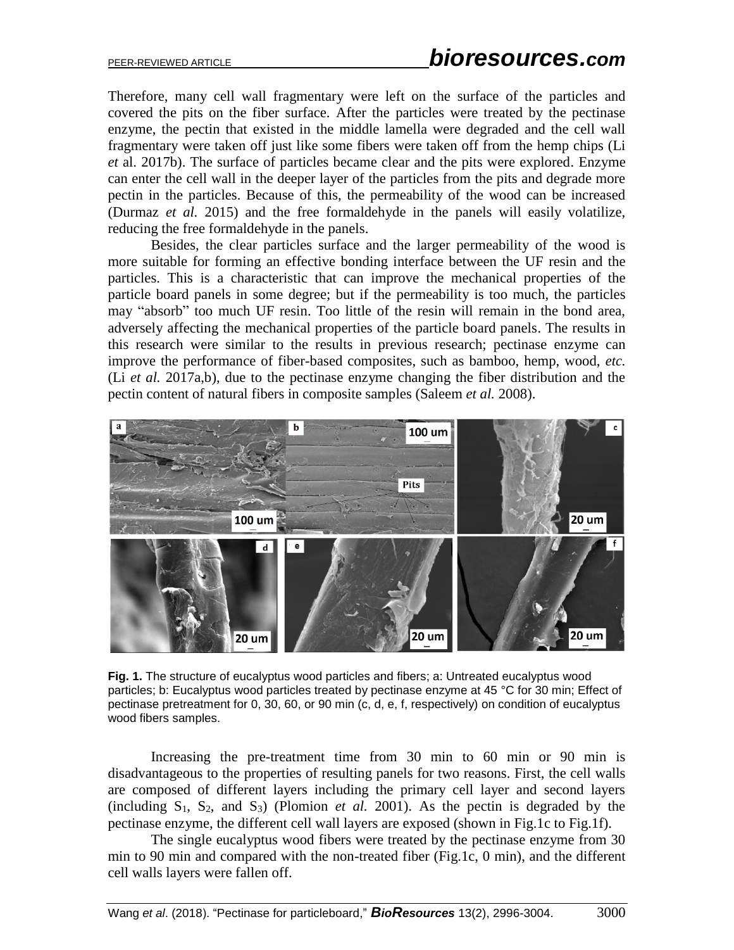Therefore, many cell wall fragmentary were left on the surface of the particles and covered the pits on the fiber surface. After the particles were treated by the pectinase enzyme, the pectin that existed in the middle lamella were degraded and the cell wall fragmentary were taken off just like some fibers were taken off from the hemp chips (Li *et* al. 2017b). The surface of particles became clear and the pits were explored. Enzyme can enter the cell wall in the deeper layer of the particles from the pits and degrade more pectin in the particles. Because of this, the permeability of the wood can be increased (Durmaz *et al.* 2015) and the free formaldehyde in the panels will easily volatilize, reducing the free formaldehyde in the panels.

Besides, the clear particles surface and the larger permeability of the wood is more suitable for forming an effective bonding interface between the UF resin and the particles. This is a characteristic that can improve the mechanical properties of the particle board panels in some degree; but if the permeability is too much, the particles may "absorb" too much UF resin. Too little of the resin will remain in the bond area, adversely affecting the mechanical properties of the particle board panels. The results in this research were similar to the results in previous research; pectinase enzyme can improve the performance of fiber-based composites, such as bamboo, hemp, wood, *etc.* (Li *et al.* 2017a,b), due to the pectinase enzyme changing the fiber distribution and the pectin content of natural fibers in composite samples (Saleem *et al.* 2008).



**Fig. 1.** The structure of eucalyptus wood particles and fibers; a: Untreated eucalyptus wood particles; b: Eucalyptus wood particles treated by pectinase enzyme at 45 °C for 30 min; Effect of pectinase pretreatment for 0, 30, 60, or 90 min (c, d, e, f, respectively) on condition of eucalyptus wood fibers samples.

Increasing the pre-treatment time from 30 min to 60 min or 90 min is disadvantageous to the properties of resulting panels for two reasons. First, the cell walls are composed of different layers including the primary cell layer and second layers (including  $S_1$ ,  $S_2$ , and  $S_3$ ) (Plomion *et al.* 2001). As the pectin is degraded by the pectinase enzyme, the different cell wall layers are exposed (shown in Fig.1c to Fig.1f).

The single eucalyptus wood fibers were treated by the pectinase enzyme from 30 min to 90 min and compared with the non-treated fiber (Fig.1c, 0 min), and the different cell walls layers were fallen off.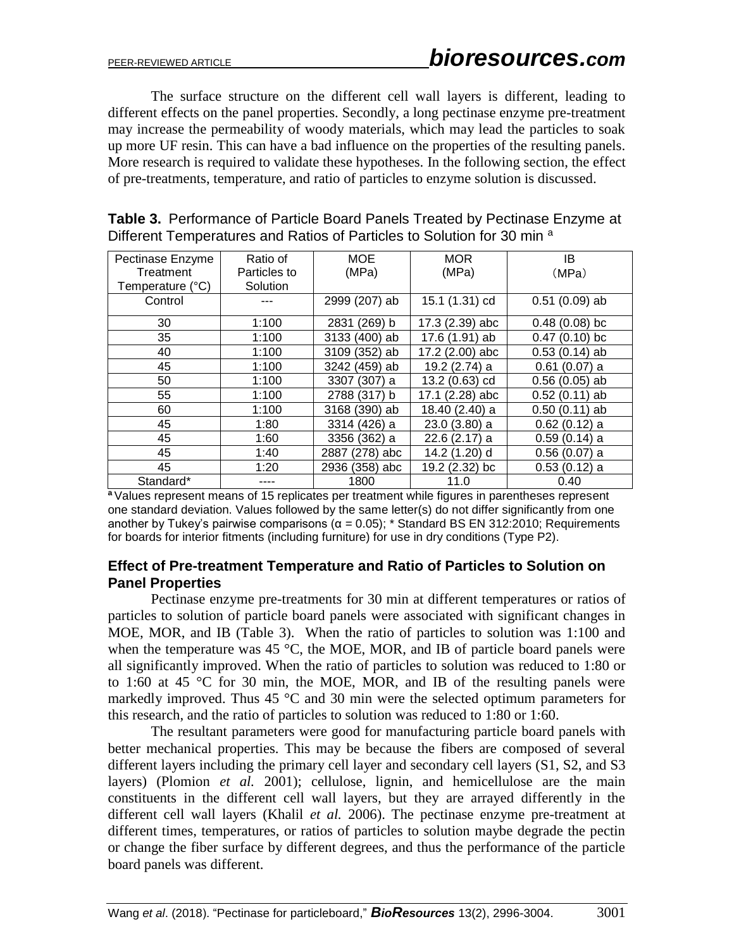The surface structure on the different cell wall layers is different, leading to different effects on the panel properties. Secondly, a long pectinase enzyme pre-treatment may increase the permeability of woody materials, which may lead the particles to soak up more UF resin. This can have a bad influence on the properties of the resulting panels. More research is required to validate these hypotheses. In the following section, the effect of pre-treatments, temperature, and ratio of particles to enzyme solution is discussed.

| Ratio of<br>Pectinase Enzyme |              | <b>MOE</b>     | <b>MOR</b>      | IB                  |
|------------------------------|--------------|----------------|-----------------|---------------------|
| Treatment                    | Particles to | (MPa)          | (MPa)           | (MPa)               |
| Temperature (°C)             | Solution     |                |                 |                     |
| Control                      |              | 2999 (207) ab  | 15.1 (1.31) cd  | $0.51(0.09)$ ab     |
| 30                           | 1:100        | 2831 (269) b   | 17.3 (2.39) abc | $0.48(0.08)$ bc     |
| 35                           | 1:100        | 3133 (400) ab  | 17.6 (1.91) ab  | $(0.10)$ bc<br>0.47 |
| 40                           | 1:100        | 3109 (352) ab  | 17.2 (2.00) abc | $0.53(0.14)$ ab     |
| 45                           | 1:100        | 3242 (459) ab  | 19.2 (2.74) a   | $0.61(0.07)$ a      |
| 50                           | 1:100        | 3307 (307) a   | 13.2 (0.63) cd  | $0.56(0.05)$ ab     |
| 55                           | 1:100        | 2788 (317) b   | 17.1 (2.28) abc | $0.52(0.11)$ ab     |
| 60                           | 1:100        | 3168 (390) ab  | 18.40 (2.40) a  | $0.50(0.11)$ ab     |
| 45                           | 1:80         | 3314 (426) a   | 23.0 (3.80) a   | $0.62(0.12)$ a      |
| 45                           | 1:60         | 3356 (362) a   | $22.6(2.17)$ a  | $0.59(0.14)$ a      |
| 45                           | 1:40         | 2887 (278) abc | 14.2 (1.20) d   | $0.56(0.07)$ a      |
| 45                           | 1:20         | 2936 (358) abc | 19.2 (2.32) bc  | $0.53(0.12)$ a      |
| Standard*                    |              | 1800           | 11.0            | 0.40                |

| Table 3. Performance of Particle Board Panels Treated by Pectinase Enzyme at |
|------------------------------------------------------------------------------|
| Different Temperatures and Ratios of Particles to Solution for 30 min a      |

**<sup>a</sup>** Values represent means of 15 replicates per treatment while figures in parentheses represent one standard deviation. Values followed by the same letter(s) do not differ significantly from one another by Tukey's pairwise comparisons  $(\alpha = 0.05)$ ; \* Standard BS EN 312:2010; Requirements for boards for interior fitments (including furniture) for use in dry conditions (Type P2).

#### **Effect of Pre-treatment Temperature and Ratio of Particles to Solution on Panel Properties**

Pectinase enzyme pre-treatments for 30 min at different temperatures or ratios of particles to solution of particle board panels were associated with significant changes in MOE, MOR, and IB (Table 3). When the ratio of particles to solution was 1:100 and when the temperature was 45  $\degree$ C, the MOE, MOR, and IB of particle board panels were all significantly improved. When the ratio of particles to solution was reduced to 1:80 or to 1:60 at 45 °C for 30 min, the MOE, MOR, and IB of the resulting panels were markedly improved. Thus  $45 \degree C$  and  $30 \text{ min}$  were the selected optimum parameters for this research, and the ratio of particles to solution was reduced to 1:80 or 1:60.

The resultant parameters were good for manufacturing particle board panels with better mechanical properties. This may be because the fibers are composed of several different layers including the primary cell layer and secondary cell layers (S1, S2, and S3 layers) (Plomion *et al.* 2001); cellulose, lignin, and hemicellulose are the main constituents in the different cell wall layers, but they are arrayed differently in the different cell wall layers (Khalil *et al.* 2006). The pectinase enzyme pre-treatment at different times, temperatures, or ratios of particles to solution maybe degrade the pectin or change the fiber surface by different degrees, and thus the performance of the particle board panels was different.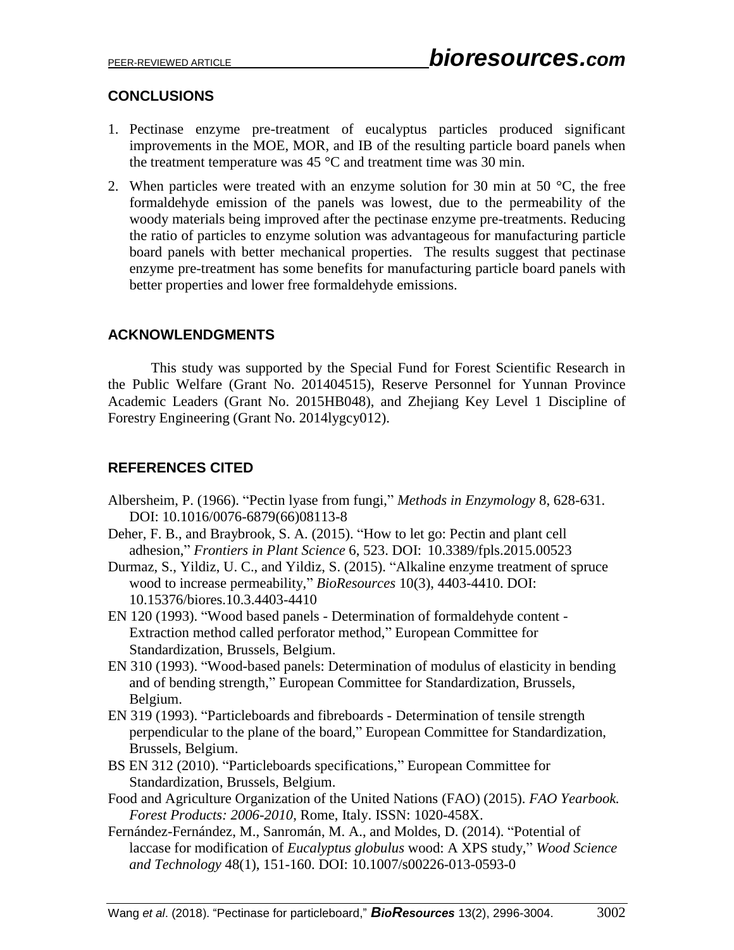# **CONCLUSIONS**

- 1. Pectinase enzyme pre-treatment of eucalyptus particles produced significant improvements in the MOE, MOR, and IB of the resulting particle board panels when the treatment temperature was  $45^{\circ}$ C and treatment time was 30 min.
- 2. When particles were treated with an enzyme solution for 30 min at 50  $\degree$ C, the free formaldehyde emission of the panels was lowest, due to the permeability of the woody materials being improved after the pectinase enzyme pre-treatments. Reducing the ratio of particles to enzyme solution was advantageous for manufacturing particle board panels with better mechanical properties. The results suggest that pectinase enzyme pre-treatment has some benefits for manufacturing particle board panels with better properties and lower free formaldehyde emissions.

# **ACKNOWLENDGMENTS**

This study was supported by the Special Fund for Forest Scientific Research in the Public Welfare (Grant No. 201404515), Reserve Personnel for Yunnan Province Academic Leaders (Grant No. 2015HB048), and Zhejiang Key Level 1 Discipline of Forestry Engineering (Grant No. 2014lygcy012).

# **REFERENCES CITED**

- Albersheim, P. (1966). "Pectin lyase from fungi," *Methods in Enzymology* 8, 628-631. DOI: [10.1016/0076-6879\(66\)08113-8](https://doi.org/10.1016/0076-6879(66)08113-8)
- Deher, F. B., and Braybrook, S. A. (2015). "How to let go: Pectin and plant cell adhesion," *Frontiers in [Plant Scie](https://www.ncbi.nlm.nih.gov/pmc/articles/PMC4500915/)nce* 6, 523. DOI: [10.3389/fpls.2015.00523](https://dx.doi.org/10.3389%2Ffpls.2015.00523)
- Durmaz, S., Yildiz, U. C., and Yildiz, S. (2015). "Alkaline enzyme treatment of spruce wood to increase permeability," *BioResources* 10(3), 4403-4410. DOI: 10.15376/biores.10.3.4403-4410
- EN 120 (1993). "Wood based panels Determination of formaldehyde content Extraction method called perforator method," European Committee for Standardization, Brussels, Belgium.
- EN 310 (1993). "Wood-based panels: Determination of modulus of elasticity in bending and of bending strength," European Committee for Standardization, Brussels, Belgium.
- EN 319 (1993). "Particleboards and fibreboards Determination of tensile strength perpendicular to the plane of the board," European Committee for Standardization, Brussels, Belgium.
- BS EN 312 (2010). "Particleboards specifications," European Committee for Standardization, Brussels, Belgium.
- Food and Agriculture Organization of the United Nations (FAO) (2015). *FAO Yearbook. Forest Products: 2006-2010*, Rome, Italy. ISSN: 1020-458X.
- Fernández-Fernández, M., Sanromán, M. A., and Moldes, D. (2014). "Potential of laccase for modification of *Eucalyptus globulus* wood: A XPS study," *Wood Science and Technology* 48(1), 151-160. DOI: 10.1007/s00226-013-0593-0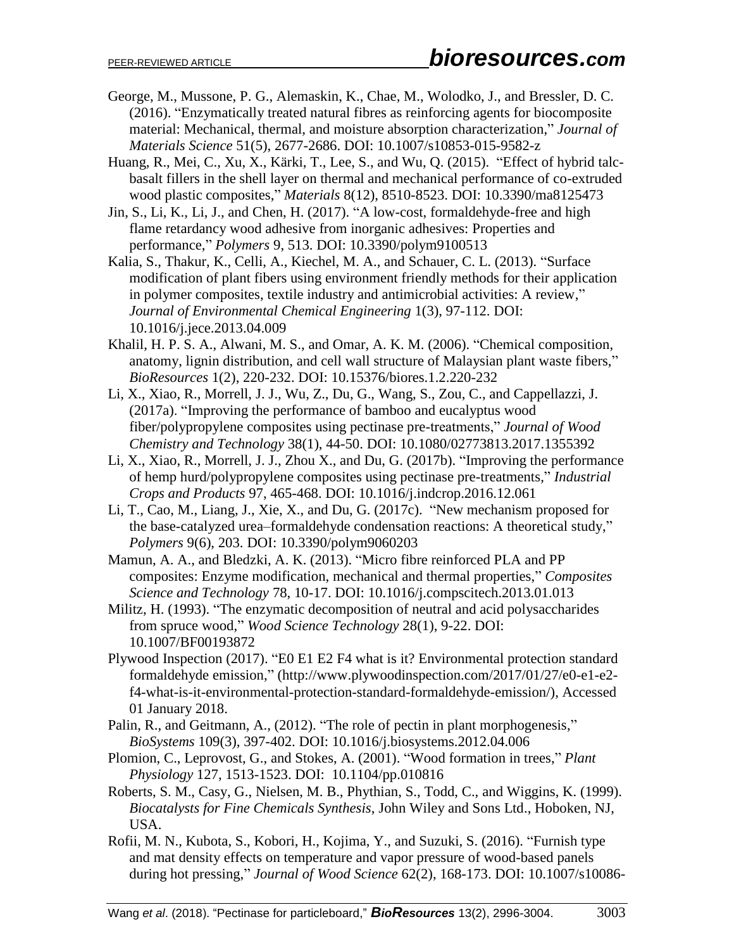- George, M., Mussone, P. G., Alemaskin, K., Chae, M., Wolodko, J., and Bressler, D. C. (2016). "Enzymatically treated natural fibres as reinforcing agents for biocomposite material: Mechanical, thermal, and moisture absorption characterization," *[Journal of](http://link.springer.com/journal/10853)  [Materials Science](http://link.springer.com/journal/10853)* 51(5), 2677-2686. DOI: 10.1007/s10853-015-9582-z
- Huang, R., Mei, C., Xu, X., Kärki, T., Lee, S., and Wu, Q. (2015). "Effect of hybrid talcbasalt fillers in the shell layer on thermal and mechanical performance of co-extruded wood plastic composites," *Materials* 8(12), 8510-8523. DOI: [10.3390/ma8125473](http://dx.doi.org/10.3390/ma8125473)
- Jin, S., Li, K., Li, J., and Chen, H. (2017). "A low-cost, formaldehyde-free and high flame retardancy wood adhesive from inorganic adhesives: Properties and performance," *Polymers* 9, 513. DOI: [10.3390/polym9100513](http://dx.doi.org/10.3390/polym9100513)
- Kalia, S., Thakur, K., Celli, A., Kiechel, M. A., and Schauer, C. L. (2013). "Surface modification of plant fibers using environment friendly methods for their application in polymer composites, textile industry and antimicrobial activities: A review," *Journal of Environmental Chemical Engineering* 1(3), 97-112. DOI: [10.1016/j.jece.2013.04.009](https://doi.org/10.1016/j.jece.2013.04.009)
- Khalil, H. P. S. A., Alwani, M. S., and Omar, A. K. M. (2006). "Chemical composition, anatomy, lignin distribution, and cell wall structure of Malaysian plant waste fibers," *BioResources* 1(2), 220-232. DOI: 10.15376/biores.1.2.220-232
- Li, X., Xiao, R., Morrell, J. J., Wu, Z., Du, G., Wang, S., Zou, C., and Cappellazzi, J. (2017a). "Improving the performance of bamboo and eucalyptus wood fiber/polypropylene composites using pectinase pre-treatments," *Journal of Wood Chemistry and Technology* 38(1), 44-50. DOI: [10.1080/02773813.2017.1355392](https://doi.org/10.1080/02773813.2017.1355392)
- Li, X., Xiao, R., Morrell, J. J., Zhou X., and Du, G. (2017b). "Improving the performance of hemp hurd/polypropylene composites using pectinase pre-treatments," *Industrial Crops and Products* 97, 465-468. DOI: [10.1016/j.indcrop.2016.12.061](https://doi.org/10.1016/j.indcrop.2016.12.061)
- Li, T., Cao, M., Liang, J., Xie, X., and Du, G. (2017c). "New mechanism proposed for the base-catalyzed urea–formaldehyde condensation reactions: A theoretical study," *Polymers* 9(6), 203. DOI: [10.3390/polym9060203](http://dx.doi.org/10.3390/polym9060203)
- Mamun, A. A., and Bledzki, A. K. (2013). "Micro fibre reinforced PLA and PP composites: Enzyme modification, mechanical and thermal properties," *Composites Science and Technology* 78, 10-17. DOI: 10.1016/j.compscitech.2013.01.013
- Militz, H. (1993). "The enzymatic decomposition of neutral and acid polysaccharides from spruce wood," *Wood Science Technology* 28(1), 9-22. DOI: 10.1007/BF00193872
- Plywood Inspection (2017). "E0 E1 E2 F4 what is it? Environmental protection standard formaldehyde emission," (http://www.plywoodinspection.com/2017/01/27/e0-e1-e2 f4-what-is-it-environmental-protection-standard-formaldehyde-emission/), Accessed 01 January 2018.
- Palin, R., and Geitmann, A., (2012). "The role of pectin in plant morphogenesis," *BioSystems* 109(3), 397-402. DOI: [10.1016/j.biosystems.2012.04.006](https://doi.org/10.1016/j.biosystems.2012.04.006)
- Plomion, C., Leprovost, G., and Stokes, A. (2001). "Wood formation in trees," *Plant Physiology* 127, 1513-1523. DOI: 10.1104/pp.010816
- Roberts, S. M., Casy, G., Nielsen, M. B., Phythian, S., Todd, C., and Wiggins, K. (1999). *Biocatalysts for Fine Chemicals Synthesis*, John Wiley and Sons Ltd., Hoboken, NJ, USA.
- Rofii, M. N., Kubota, S., Kobori, H., Kojima, Y., and Suzuki, S. (2016). "Furnish type and mat density effects on temperature and vapor pressure of wood-based panels during hot pressing," *[Journal of Wood Science](https://link.springer.com/journal/10086)* 62(2), 168-173. DOI: 10.1007/s10086-